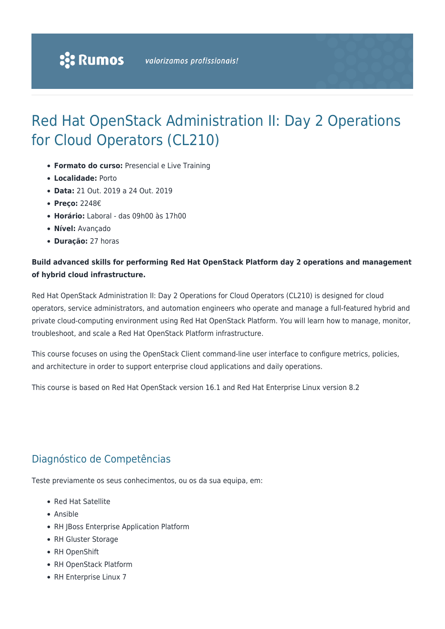## Red Hat OpenStack Administration II: Day 2 Operations for Cloud Operators (CL210)

- **Formato do curso:** Presencial e Live Training
- **Localidade:** Porto
- **Data:** 21 Out. 2019 a 24 Out. 2019
- **Preço:** 2248€
- **Horário:** Laboral das 09h00 às 17h00
- **Nível:** Avançado
- **Duração:** 27 horas

#### **Build advanced skills for performing Red Hat OpenStack Platform day 2 operations and management of hybrid cloud infrastructure.**

Red Hat OpenStack Administration II: Day 2 Operations for Cloud Operators (CL210) is designed for cloud operators, service administrators, and automation engineers who operate and manage a full-featured hybrid and private cloud-computing environment using Red Hat OpenStack Platform. You will learn how to manage, monitor, troubleshoot, and scale a Red Hat OpenStack Platform infrastructure.

This course focuses on using the OpenStack Client command-line user interface to configure metrics, policies, and architecture in order to support enterprise cloud applications and daily operations.

This course is based on Red Hat OpenStack version 16.1 and Red Hat Enterprise Linux version 8.2

## Diagnóstico de Competências

Teste previamente os seus conhecimentos, ou os da sua equipa, em:

- Red Hat Satellite
- Ansible
- RH JBoss Enterprise Application Platform
- RH Gluster Storage
- RH OpenShift
- RH OpenStack Platform
- RH Enterprise Linux 7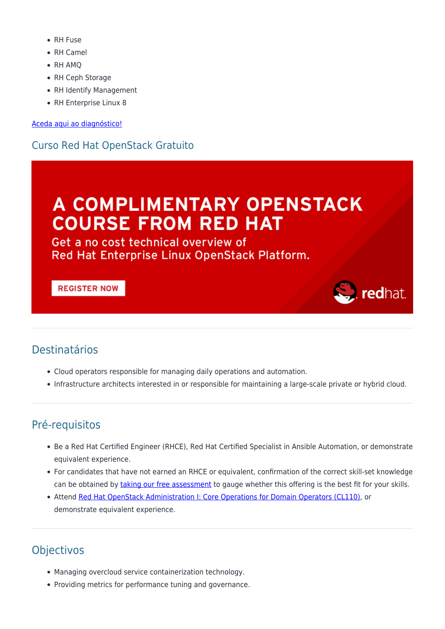- RH Fuse
- RH Camel
- RH AMO
- RH Ceph Storage
- RH Identify Management
- RH Enterprise Linux 8

Aceda aqui ao diagnóstico!

## **Curso Red Hat OpenStack Gratuito**

# A COMPLIMENTARY OPENSTACK **COURSE FROM RED HAT**

Get a no cost technical overview of Red Hat Enterprise Linux OpenStack Platform.

#### **REGISTER NOW**

## **Destinatários**

- Cloud operators responsible for managing daily operations and automation.
- Infrastructure architects interested in or responsible for maintaining a large-scale private or hybrid cloud.

redhat.

## Pré-requisitos

- Be a Red Hat Certified Engineer (RHCE), Red Hat Certified Specialist in Ansible Automation, or demonstrate equivalent experience.
- For candidates that have not earned an RHCE or equivalent, confirmation of the correct skill-set knowledge can be obtained by taking our free assessment to gauge whether this offering is the best fit for your skills.
- Attend Red Hat OpenStack Administration I: Core Operations for Domain Operators (CL110), or demonstrate equivalent experience.

## **Objectivos**

- Managing overcloud service containerization technology.
- Providing metrics for performance tuning and governance.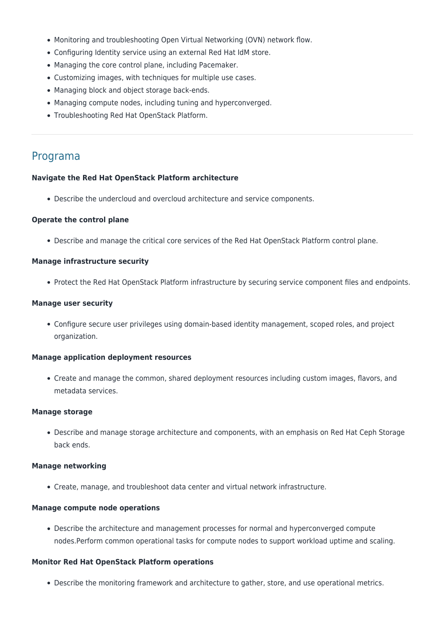- Monitoring and troubleshooting Open Virtual Networking (OVN) network flow.
- Configuring Identity service using an external Red Hat IdM store.
- Managing the core control plane, including Pacemaker.
- Customizing images, with techniques for multiple use cases.
- Managing block and object storage back-ends.
- Managing compute nodes, including tuning and hyperconverged.
- Troubleshooting Red Hat OpenStack Platform.

### Programa

#### **Navigate the Red Hat OpenStack Platform architecture**

Describe the undercloud and overcloud architecture and service components.

#### **Operate the control plane**

Describe and manage the critical core services of the Red Hat OpenStack Platform control plane.

#### **Manage infrastructure security**

• Protect the Red Hat OpenStack Platform infrastructure by securing service component files and endpoints.

#### **Manage user security**

Configure secure user privileges using domain-based identity management, scoped roles, and project organization.

#### **Manage application deployment resources**

Create and manage the common, shared deployment resources including custom images, flavors, and metadata services.

#### **Manage storage**

Describe and manage storage architecture and components, with an emphasis on Red Hat Ceph Storage back ends.

#### **Manage networking**

Create, manage, and troubleshoot data center and virtual network infrastructure.

#### **Manage compute node operations**

Describe the architecture and management processes for normal and hyperconverged compute nodes.Perform common operational tasks for compute nodes to support workload uptime and scaling.

#### **Monitor Red Hat OpenStack Platform operations**

Describe the monitoring framework and architecture to gather, store, and use operational metrics.